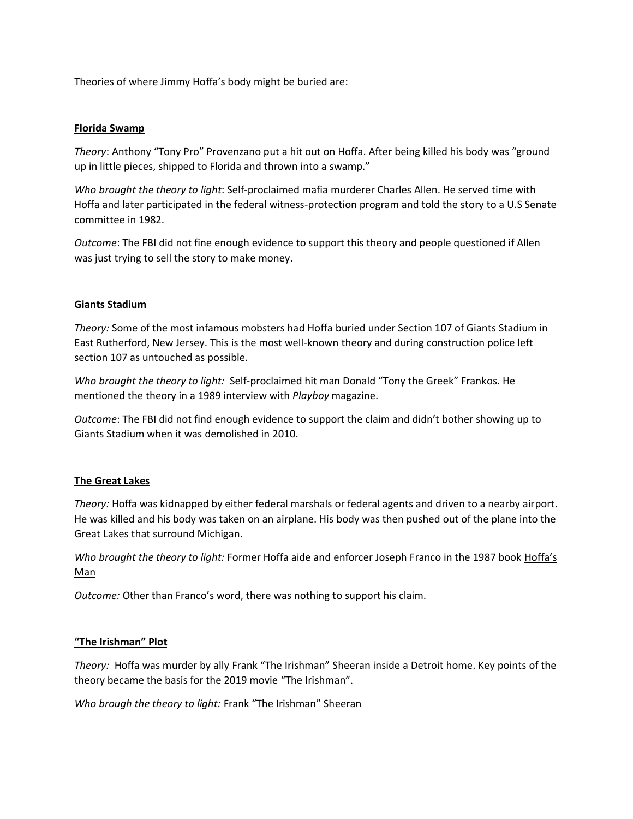Theories of where Jimmy Hoffa's body might be buried are:

## **Florida Swamp**

*Theory*: Anthony "Tony Pro" Provenzano put a hit out on Hoffa. After being killed his body was "ground up in little pieces, shipped to Florida and thrown into a swamp."

*Who brought the theory to light*: Self-proclaimed mafia murderer Charles Allen. He served time with Hoffa and later participated in the federal witness-protection program and told the story to a U.S Senate committee in 1982.

*Outcome*: The FBI did not fine enough evidence to support this theory and people questioned if Allen was just trying to sell the story to make money.

### **Giants Stadium**

*Theory:* Some of the most infamous mobsters had Hoffa buried under Section 107 of Giants Stadium in East Rutherford, New Jersey. This is the most well-known theory and during construction police left section 107 as untouched as possible.

*Who brought the theory to light:* Self-proclaimed hit man Donald "Tony the Greek" Frankos. He mentioned the theory in a 1989 interview with *Playboy* magazine.

*Outcome*: The FBI did not find enough evidence to support the claim and didn't bother showing up to Giants Stadium when it was demolished in 2010.

#### **The Great Lakes**

*Theory:* Hoffa was kidnapped by either federal marshals or federal agents and driven to a nearby airport. He was killed and his body was taken on an airplane. His body was then pushed out of the plane into the Great Lakes that surround Michigan.

*Who brought the theory to light:* Former Hoffa aide and enforcer Joseph Franco in the 1987 book Hoffa's Man

*Outcome:* Other than Franco's word, there was nothing to support his claim.

## **"The Irishman" Plot**

*Theory:* Hoffa was murder by ally Frank "The Irishman" Sheeran inside a Detroit home. Key points of the theory became the basis for the 2019 movie "The Irishman".

*Who brough the theory to light:* Frank "The Irishman" Sheeran